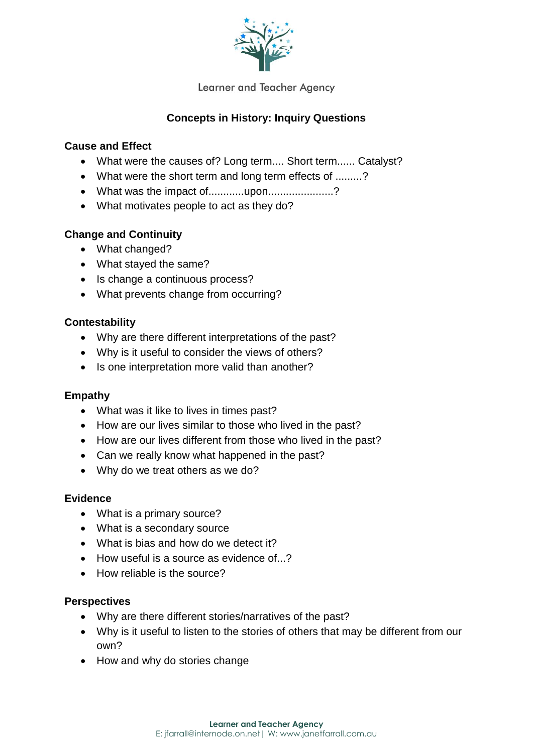

Learner and Teacher Agency

## **Concepts in History: Inquiry Questions**

#### **Cause and Effect**

- What were the causes of? Long term.... Short term...... Catalyst?
- What were the short term and long term effects of .........?
- What was the impact of............upon....................?
- What motivates people to act as they do?

### **Change and Continuity**

- What changed?
- What stayed the same?
- Is change a continuous process?
- What prevents change from occurring?

#### **Contestability**

- Why are there different interpretations of the past?
- Why is it useful to consider the views of others?
- Is one interpretation more valid than another?

#### **Empathy**

- What was it like to lives in times past?
- How are our lives similar to those who lived in the past?
- How are our lives different from those who lived in the past?
- Can we really know what happened in the past?
- Why do we treat others as we do?

#### **Evidence**

- What is a primary source?
- What is a secondary source
- What is bias and how do we detect it?
- How useful is a source as evidence of  $\sqrt{?}$
- How reliable is the source?

#### **Perspectives**

- Why are there different stories/narratives of the past?
- Why is it useful to listen to the stories of others that may be different from our own?
- How and why do stories change